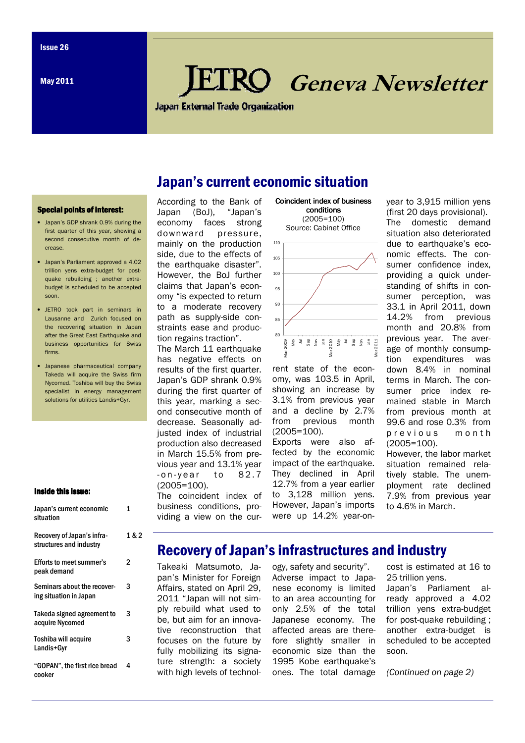May 2011

# **RO** Geneva Newsletter

**Japan External Trade Organization** 

Japan's current economic situation

#### **Special points of interest:**

- Japan's GDP shrank 0.9% during the first quarter of this year, showing a second consecutive month of decrease.
- Japan's Parliament approved a 4.02 trillion yens extra-budget for postquake rebuilding ; another extrabudget is scheduled to be accepted soon.
- JETRO took part in seminars in Lausanne and Zurich focused on the recovering situation in Japan after the Great East Earthquake and business opportunities for Swiss firms.
- Japanese pharmaceutical company Takeda will acquire the Swiss firm Nycomed. Toshiba will buy the Swiss specialist in energy management solutions for utilities Landis+Gyr.

## Inside this issue:

| Japan's current economic<br>situation                 | 1  |
|-------------------------------------------------------|----|
| Recovery of Japan's infra-<br>structures and industry | 18 |
| Efforts to meet summer's<br>peak demand               | 2  |
| Seminars about the recover-<br>ing situation in Japan | 3  |
| Takeda signed agreement to<br>acquire Nycomed         | 3  |
| <b>Toshiba will acquire</b><br>Landis+Gyr             | 3  |
| "GOPAN", the first rice bread<br>cooker               | 4  |

 $\overline{2}$ 

## According to the Bank of Japan (BoJ), "Japan's economy faces strong downward pressure, mainly on the production side, due to the effects of the earthquake disaster". However, the BoJ further claims that Japan's economy "is expected to return to a moderate recovery path as supply-side constraints ease and production regains traction".

The March 11 earthquake has negative effects on results of the first quarter. Japan's GDP shrank 0.9% during the first quarter of this year, marking a second consecutive month of decrease. Seasonally adjusted index of industrial production also decreased in March 15.5% from previous year and 13.1% year  $-$  on-year to 82.7 (2005=100).

The coincident index of business conditions, providing a view on the cur-





rent state of the economy, was 103.5 in April, showing an increase by 3.1% from previous year and a decline by 2.7% from previous month (2005=100).

Exports were also affected by the economic impact of the earthquake. They declined in April 12.7% from a year earlier to 3,128 million yens. However, Japan's imports were up 14.2% year-onyear to 3,915 million yens (first 20 days provisional). The domestic demand situation also deteriorated due to earthquake's economic effects. The consumer confidence index, providing a quick understanding of shifts in consumer perception, was 33.1 in April 2011, down from previous month and 20.8% from previous year. The average of monthly consumption expenditures was down 8.4% in nominal terms in March. The consumer price index remained stable in March from previous month at 99.6 and rose 0.3% from p r e v i o u s m o n t h (2005=100).

However, the labor market situation remained relatively stable. The unemployment rate declined 7.9% from previous year to 4.6% in March.

# Recovery of Japan's infrastructures and industry

Takeaki Matsumoto, Japan's Minister for Foreign Affairs, stated on April 29, 2011 "Japan will not simply rebuild what used to be, but aim for an innovative reconstruction that focuses on the future by fully mobilizing its signature strength: a society with high levels of technol-

ogy, safety and security". Adverse impact to Japanese economy is limited to an area accounting for only 2.5% of the total Japanese economy. The affected areas are therefore slightly smaller in economic size than the 1995 Kobe earthquake's ones. The total damage

cost is estimated at 16 to 25 trillion yens.

Japan's Parliament already approved a 4.02 trillion yens extra-budget for post-quake rebuilding ; another extra-budget is scheduled to be accepted soon.

(Continued on page 2)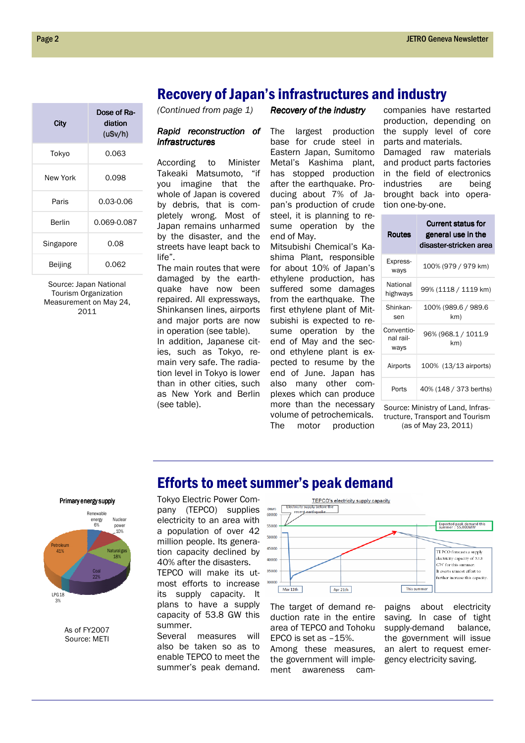# Recovery of Japan's infrastructures and industry

(Continued from page 1)

## Rapid reconstruction of infrastructures

According to Minister Takeaki Matsumoto, "if you imagine that the whole of Japan is covered by debris, that is completely wrong. Most of Japan remains unharmed by the disaster, and the streets have leapt back to life".

The main routes that were damaged by the earthquake have now been repaired. All expressways, Shinkansen lines, airports and major ports are now in operation (see table). In addition, Japanese cities, such as Tokyo, remain very safe. The radiation level in Tokyo is lower than in other cities, such as New York and Berlin (see table).

Recovery of the industry

The largest production base for crude steel in Eastern Japan, Sumitomo Metal's Kashima plant, has stopped production after the earthquake. Producing about 7% of Japan's production of crude steel, it is planning to resume operation by the end of May.

Mitsubishi Chemical's Kashima Plant, responsible for about 10% of Japan's ethylene production, has suffered some damages from the earthquake. The first ethylene plant of Mitsubishi is expected to resume operation by the end of May and the second ethylene plant is expected to resume by the end of June. Japan has also many other complexes which can produce more than the necessary volume of petrochemicals. The motor production

companies have restarted production, depending on the supply level of core parts and materials. Damaged raw materials and product parts factories in the field of electronics industries are being brought back into operation one-by-one.

Current status for

| <b>Routes</b>                   | general use in the<br>disaster-stricken area |
|---------------------------------|----------------------------------------------|
| Express-<br>ways                | 100% (979 / 979 km)                          |
| National<br>highways            | 99% (1118 / 1119 km)                         |
| Shinkan-<br>sen                 | 100% (989.6 / 989.6<br>km)                   |
| Conventio-<br>nal rail-<br>ways | 96% (968.1 / 1011.9<br>km)                   |
| Airports                        | 100% (13/13 airports)                        |
| Ports                           | 40% (148 / 373 berths)                       |

Source: Ministry of Land, Infrastructure, Transport and Tourism (as of May 23, 2011)

# **City** Dose of Radiation (uSv/h) (uSv/h) Tokyo 0.063 New York 0.098 Paris 0.03-0.06 Berlin 0.069-0.087 Singapore 0.08 Beijing 0.062

Source: Japan National Tourism Organization Measurement on May 24, 2011

### Primary energy supply



As of FY2007 Source: METI

## Efforts to meet summer's peak demand Tokyo Electric Power Company (TEPCO) supplies electricity to an area with a population of over 42 million people. Its generation capacity declined by 40% after the disasters.

TEPCO will make its utmost efforts to increase its supply capacity. It plans to have a supply capacity of 53.8 GW this summer.

Several measures will also be taken so as to enable TEPCO to meet the summer's peak demand.



The target of demand reduction rate in the entire area of TEPCO and Tohoku EPCO is set as –15%. Among these measures, the government will implement awareness campaigns about electricity saving. In case of tight supply-demand balance, the government will issue an alert to request emergency electricity saving.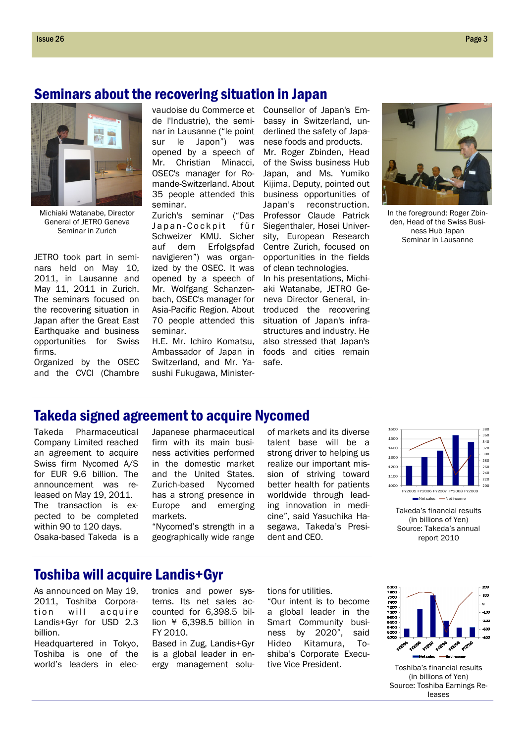# Seminars about the recovering situation in Japan



Michiaki Watanabe, Director General of JETRO Geneva Seminar in Zurich

JETRO took part in seminars held on May 10, 2011, in Lausanne and May 11, 2011 in Zurich. The seminars focused on the recovering situation in Japan after the Great East Earthquake and business opportunities for Swiss firms.

Organized by the OSEC and the CVCI (Chambre

de l'Industrie), the seminar in Lausanne ("le point sur le Japon") was opened by a speech of Mr. Christian Minacci, OSEC's manager for Romande-Switzerland. About 35 people attended this seminar.

Zurich's seminar ("Das Japan-Cockpit für Schweizer KMU. Sicher auf dem Erfolgspfad navigieren") was organized by the OSEC. It was opened by a speech of Mr. Wolfgang Schanzenbach, OSEC's manager for Asia-Pacific Region. About 70 people attended this seminar.

H.E. Mr. Ichiro Komatsu, Ambassador of Japan in Switzerland, and Mr. Yasushi Fukugawa, Minister-

vaudoise du Commerce et Counsellor of Japan's Embassy in Switzerland, underlined the safety of Japanese foods and products. Mr. Roger Zbinden, Head of the Swiss business Hub Japan, and Ms. Yumiko Kijima, Deputy, pointed out business opportunities of Japan's reconstruction. Professor Claude Patrick Siegenthaler, Hosei University, European Research Centre Zurich, focused on opportunities in the fields of clean technologies.

> In his presentations, Michiaki Watanabe, JETRO Geneva Director General, introduced the recovering situation of Japan's infrastructures and industry. He also stressed that Japan's foods and cities remain safe.



In the foreground: Roger Zbinden, Head of the Swiss Business Hub Japan Seminar in Lausanne

# Takeda signed agreement to acquire Nycomed

Takeda Pharmaceutical Company Limited reached an agreement to acquire Swiss firm Nycomed A/S for EUR 9.6 billion. The announcement was released on May 19, 2011. The transaction is expected to be completed within 90 to 120 days. Osaka-based Takeda is a

Japanese pharmaceutical firm with its main business activities performed in the domestic market and the United States. Zurich-based Nycomed has a strong presence in Europe and emerging markets.

"Nycomed's strength in a geographically wide range of markets and its diverse talent base will be a strong driver to helping us realize our important mission of striving toward better health for patients worldwide through leading innovation in medicine", said Yasuchika Hasegawa, Takeda's President and CEO.



Takeda's financial results (in billions of Yen) Source: Takeda's annual report 2010

## Toshiba will acquire Landis+Gyr

As announced on May 19, 2011, Toshiba Corporation will acquire Landis+Gyr for USD 2.3 billion.

Headquartered in Tokyo, Toshiba is one of the world's leaders in electronics and power systems. Its net sales accounted for 6,398.5 billion ¥ 6,398.5 billion in FY 2010.

Based in Zug, Landis+Gyr is a global leader in energy management solutions for utilities.

"Our intent is to become a global leader in the Smart Community business by 2020", said Hideo Kitamura, Toshiba's Corporate Executive Vice President.



Toshiba's financial results (in billions of Yen) Source: Toshiba Earnings Releases